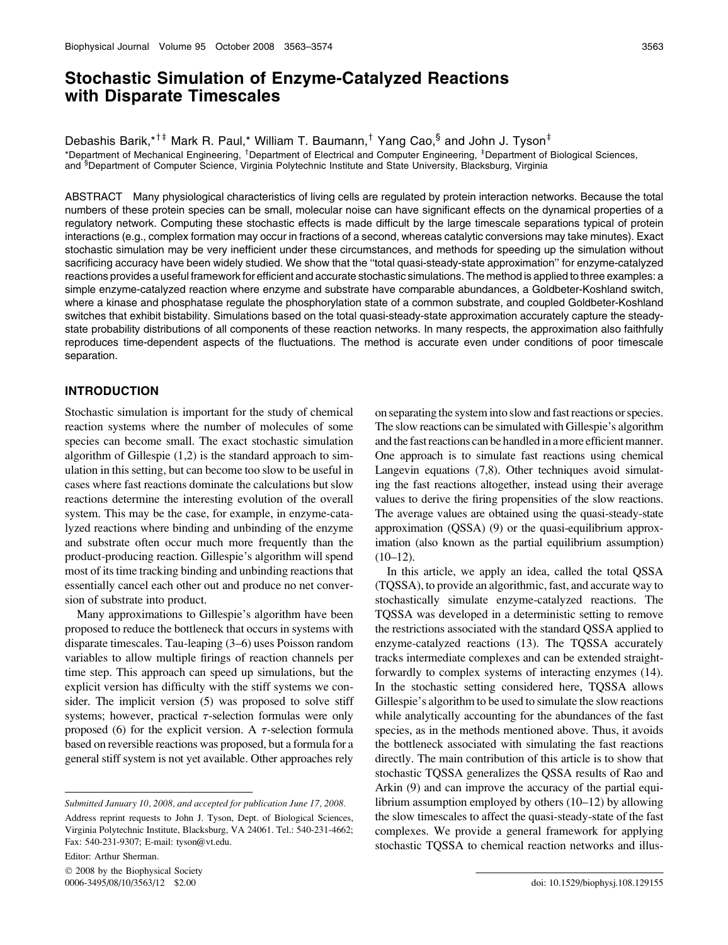# Stochastic Simulation of Enzyme-Catalyzed Reactions with Disparate Timescales

Debashis Barik,\*<sup>†‡</sup> Mark R. Paul,\* William T. Baumann,<sup>†</sup> Yang Cao,§ and John J. Tyson<sup>‡</sup>

\*Department of Mechanical Engineering, <sup>†</sup>Department of Electrical and Computer Engineering, <sup>‡</sup>Department of Biological Sciences, and <sup>§</sup>Department of Computer Science, Virginia Polytechnic Institute and State University, Blacksburg, Virginia

ABSTRACT Many physiological characteristics of living cells are regulated by protein interaction networks. Because the total numbers of these protein species can be small, molecular noise can have significant effects on the dynamical properties of a regulatory network. Computing these stochastic effects is made difficult by the large timescale separations typical of protein interactions (e.g., complex formation may occur in fractions of a second, whereas catalytic conversions may take minutes). Exact stochastic simulation may be very inefficient under these circumstances, and methods for speeding up the simulation without sacrificing accuracy have been widely studied. We show that the ''total quasi-steady-state approximation'' for enzyme-catalyzed reactions provides a useful framework for efficient and accurate stochastic simulations. The method is applied to three examples: a simple enzyme-catalyzed reaction where enzyme and substrate have comparable abundances, a Goldbeter-Koshland switch, where a kinase and phosphatase regulate the phosphorylation state of a common substrate, and coupled Goldbeter-Koshland switches that exhibit bistability. Simulations based on the total quasi-steady-state approximation accurately capture the steadystate probability distributions of all components of these reaction networks. In many respects, the approximation also faithfully reproduces time-dependent aspects of the fluctuations. The method is accurate even under conditions of poor timescale separation.

## INTRODUCTION

Stochastic simulation is important for the study of chemical reaction systems where the number of molecules of some species can become small. The exact stochastic simulation algorithm of Gillespie (1,2) is the standard approach to simulation in this setting, but can become too slow to be useful in cases where fast reactions dominate the calculations but slow reactions determine the interesting evolution of the overall system. This may be the case, for example, in enzyme-catalyzed reactions where binding and unbinding of the enzyme and substrate often occur much more frequently than the product-producing reaction. Gillespie's algorithm will spend most of its time tracking binding and unbinding reactions that essentially cancel each other out and produce no net conversion of substrate into product.

Many approximations to Gillespie's algorithm have been proposed to reduce the bottleneck that occurs in systems with disparate timescales. Tau-leaping (3–6) uses Poisson random variables to allow multiple firings of reaction channels per time step. This approach can speed up simulations, but the explicit version has difficulty with the stiff systems we consider. The implicit version (5) was proposed to solve stiff systems; however, practical  $\tau$ -selection formulas were only proposed (6) for the explicit version. A  $\tau$ -selection formula based on reversible reactions was proposed, but a formula for a general stiff system is not yet available. Other approaches rely

Address reprint requests to John J. Tyson, Dept. of Biological Sciences, Virginia Polytechnic Institute, Blacksburg, VA 24061. Tel.: 540-231-4662; Fax: 540-231-9307; E-mail: tyson@vt.edu.

Editor: Arthur Sherman.

 $© 2008$  by the Biophysical Society 0006-3495/08/10/3563/12 \$2.00

on separating the system into slow and fast reactions or species. The slow reactions can be simulated with Gillespie's algorithm and the fast reactions can be handled in a more efficient manner. One approach is to simulate fast reactions using chemical Langevin equations (7,8). Other techniques avoid simulating the fast reactions altogether, instead using their average values to derive the firing propensities of the slow reactions. The average values are obtained using the quasi-steady-state approximation (QSSA) (9) or the quasi-equilibrium approximation (also known as the partial equilibrium assumption)  $(10-12)$ .

In this article, we apply an idea, called the total QSSA (TQSSA), to provide an algorithmic, fast, and accurate way to stochastically simulate enzyme-catalyzed reactions. The TQSSA was developed in a deterministic setting to remove the restrictions associated with the standard QSSA applied to enzyme-catalyzed reactions (13). The TQSSA accurately tracks intermediate complexes and can be extended straightforwardly to complex systems of interacting enzymes (14). In the stochastic setting considered here, TQSSA allows Gillespie's algorithm to be used to simulate the slow reactions while analytically accounting for the abundances of the fast species, as in the methods mentioned above. Thus, it avoids the bottleneck associated with simulating the fast reactions directly. The main contribution of this article is to show that stochastic TQSSA generalizes the QSSA results of Rao and Arkin (9) and can improve the accuracy of the partial equilibrium assumption employed by others (10–12) by allowing the slow timescales to affect the quasi-steady-state of the fast complexes. We provide a general framework for applying stochastic TQSSA to chemical reaction networks and illus-

Submitted January 10, 2008, and accepted for publication June 17, 2008.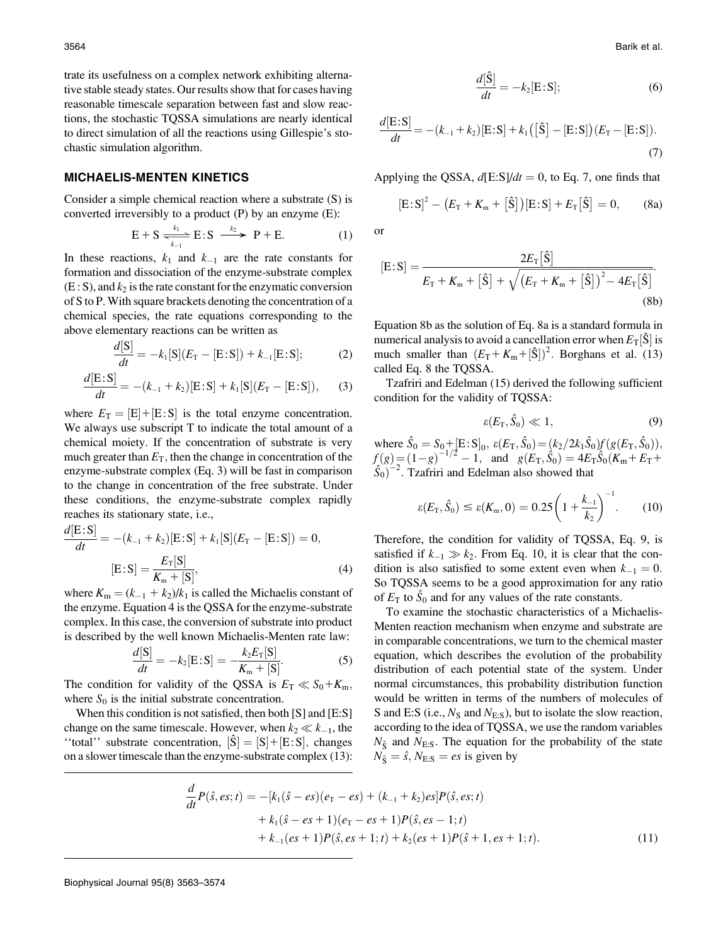trate its usefulness on a complex network exhibiting alternative stable steady states. Our results show that for cases having reasonable timescale separation between fast and slow reactions, the stochastic TQSSA simulations are nearly identical to direct simulation of all the reactions using Gillespie's stochastic simulation algorithm.

#### MICHAELIS-MENTEN KINETICS

Consider a simple chemical reaction where a substrate (S) is

converted irreversibly to a product (P) by an enzyme (E):

\n
$$
E + S \xrightarrow[k_{-1}]{k_1} E : S \xrightarrow[k_{-2}]{k_2} P + E. \tag{1}
$$

In these reactions,  $k_1$  and  $k_{-1}$  are the rate constants for formation and dissociation of the enzyme-substrate complex  $(E: S)$ , and  $k<sub>2</sub>$  is the rate constant for the enzymatic conversion of S to P. With square brackets denoting the concentration of a chemical species, the rate equations corresponding to the above elementary reactions can be written as

$$
\frac{d[S]}{dt} = -k_1[S](E_T - [E:S]) + k_{-1}[E:S];\tag{2}
$$

$$
\frac{d[E:S]}{dt} = -(k_{-1} + k_2)[E:S] + k_1[S](E_T - [E:S]), \quad (3)
$$

where  $E_T = [E] + [E:S]$  is the total enzyme concentration. We always use subscript T to indicate the total amount of a chemical moiety. If the concentration of substrate is very much greater than  $E_T$ , then the change in concentration of the enzyme-substrate complex (Eq. 3) will be fast in comparison to the change in concentration of the free substrate. Under these conditions, the enzyme-substrate complex rapidly reaches its stationary state, i.e.,

$$
\frac{d[E:S]}{dt} = -(k_{-1} + k_2)[E:S] + k_1[S](E_T - [E:S]) = 0,
$$
  
[E:S] =  $\frac{E_T[S]}{K_m + [S]},$  (4)

where  $K_m = (k_{-1} + k_2)/k_1$  is called the Michaelis constant of the enzyme. Equation 4 is the QSSA for the enzyme-substrate complex. In this case, the conversion of substrate into product is described by the well known Michaelis-Menten rate law:

$$
\frac{d[S]}{dt} = -k_2[E;S] = -\frac{k_2 E_T[S]}{K_m + [S]}.
$$
 (5)

The condition for validity of the QSSA is  $E_T \ll S_0 + K_m$ , where  $S_0$  is the initial substrate concentration.

When this condition is not satisfied, then both [S] and [E:S] change on the same timescale. However, when  $k_2 \ll k_{-1}$ , the "total" substrate concentration,  $|\hat{S}| = |S| + [E:S]$ , changes on a slower timescale than the enzyme-substrate complex (13):

$$
\frac{d[\hat{\mathbf{S}}]}{dt} = -k_2[\mathbf{E} : \mathbf{S}];\tag{6}
$$

$$
\frac{d[E:S]}{dt} = -(k_{-1} + k_2)[E:S] + k_1([\hat{S}] - [E:S])(E_T - [E:S]).
$$
\n(7)

Applying the QSSA,  $d[E:S]/dt = 0$ , to Eq. 7, one finds that

$$
[E: S]2 - (ET + Km + [S]) [E: S] + ET [S] = 0,
$$
 (8a)

or

$$
[E: S] = \frac{2E_{\rm T}[\hat{S}]}{E_{\rm T} + K_{\rm m} + [\hat{S}] + \sqrt{(E_{\rm T} + K_{\rm m} + [\hat{S}])^2 - 4E_{\rm T}[\hat{S}]}}.
$$
\n(8b)

Equation 8b as the solution of Eq. 8a is a standard formula in numerical analysis to avoid a cancellation error when  $E_T[\hat{S}]$  is much smaller than  $(E_T + K_m + [\hat{S}])^2$ . Borghans et al. (13) called Eq. 8 the TQSSA.

Tzafriri and Edelman (15) derived the following sufficient condition for the validity of TQSSA:

$$
\varepsilon(E_{\rm T}, \hat{S}_0) \ll 1,\tag{9}
$$

where  $\hat{S}_0 = S_0 + [E : S]_0$ ,  $\varepsilon(E_T, \hat{S}_0) = (k_2/2k_1\hat{S}_0)f(g(E_T, \hat{S}_0)),$  $f(g)=(1-g)^{-1/2}-1$ , and  $g(E_T, \hat{S}_0)=4E_T\hat{S}_0(K_m+E_T+\hat{S}_0)^{-2}$ . Tzafriri and Edelman also showed that  $(\hat{S}_0)^{-2}$ . Tzafriri and Edelman also showed that

$$
\varepsilon(E_{\rm T}, \hat{S}_0) \le \varepsilon(K_{\rm m}, 0) = 0.25 \left(1 + \frac{k_{-1}}{k_2}\right)^{-1}.\tag{10}
$$

Therefore, the condition for validity of TQSSA, Eq. 9, is satisfied if  $k_{-1} \gg k_2$ . From Eq. 10, it is clear that the condition is also satisfied to some extent even when  $k_{-1} = 0$ . So TQSSA seems to be a good approximation for any ratio of  $E_T$  to  $\hat{S}_0$  and for any values of the rate constants.

To examine the stochastic characteristics of a Michaelis-Menten reaction mechanism when enzyme and substrate are in comparable concentrations, we turn to the chemical master equation, which describes the evolution of the probability distribution of each potential state of the system. Under normal circumstances, this probability distribution function would be written in terms of the numbers of molecules of S and E:S (i.e.,  $N_s$  and  $N_{E:S}$ ), but to isolate the slow reaction, according to the idea of TQSSA, we use the random variables  $N_{\hat{S}}$  and  $N_{\text{E:S}}$ . The equation for the probability of the state  $N_{\hat{S}} = \hat{s}$ ,  $N_{E:S} = es$  is given by

$$
\frac{d}{dt}P(\hat{s}, es; t) = -[k_1(\hat{s} - es)(e_T - es) + (k_{-1} + k_2)es]P(\hat{s}, es; t) \n+ k_1(\hat{s} - es + 1)(e_T - es + 1)P(\hat{s}, es - 1; t) \n+ k_{-1}(es + 1)P(\hat{s}, es + 1; t) + k_2(es + 1)P(\hat{s} + 1, es + 1; t).
$$
\n(11)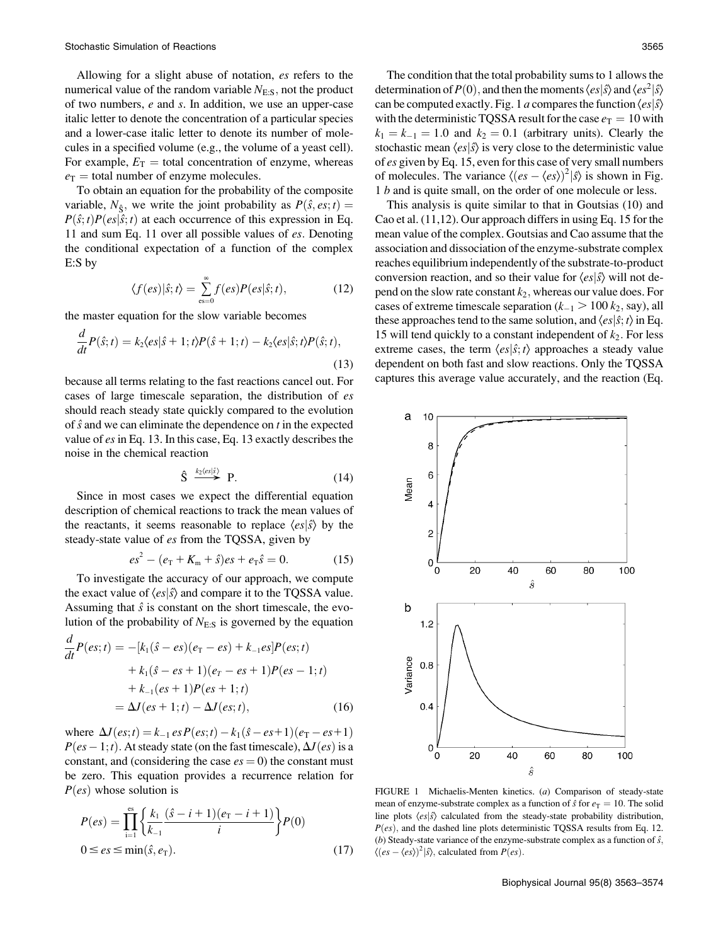Allowing for a slight abuse of notation, es refers to the numerical value of the random variable  $N_{ES}$ , not the product of two numbers,  $e$  and  $s$ . In addition, we use an upper-case italic letter to denote the concentration of a particular species and a lower-case italic letter to denote its number of molecules in a specified volume (e.g., the volume of a yeast cell). For example,  $E_T$  = total concentration of enzyme, whereas  $e_T$  = total number of enzyme molecules.

To obtain an equation for the probability of the composite variable,  $N_{\hat{S}}$ , we write the joint probability as  $P(\hat{s}, \text{es}; t) =$  $P(\hat{s}; t)P(es|\hat{s}; t)$  at each occurrence of this expression in Eq. 11 and sum Eq. 11 over all possible values of es: Denoting the conditional expectation of a function of the complex E:S by

$$
\langle f(es)|\hat{s};t\rangle = \sum_{\text{es}=0}^{\infty} f(es)P(es|\hat{s};t),\tag{12}
$$

the master equation for the slow variable becomes

$$
\frac{d}{dt}P(\hat{s};t) = k_2 \langle es|\hat{s} + 1;t\rangle P(\hat{s} + 1;t) - k_2 \langle es|\hat{s};t\rangle P(\hat{s};t),
$$
\n(13)

because all terms relating to the fast reactions cancel out. For cases of large timescale separation, the distribution of es should reach steady state quickly compared to the evolution of  $\hat{s}$  and we can eliminate the dependence on  $t$  in the expected value of es in Eq. 13. In this case, Eq. 13 exactly describes the noise in the chemical reaction

$$
\hat{S} \stackrel{k_2\langle es|\hat{s}\rangle}{\longrightarrow} P. \tag{14}
$$

Since in most cases we expect the differential equation description of chemical reactions to track the mean values of the reactants, it seems reasonable to replace  $\langle e s | \hat{s} \rangle$  by the steady-state value of *es* from the TQSSA, given by

$$
es2 - (eT + Km + \hat{s})es + eT\hat{s} = 0.
$$
 (15)

To investigate the accuracy of our approach, we compute the exact value of  $\langle es|\hat{s}\rangle$  and compare it to the TQSSA value. Assuming that  $\hat{s}$  is constant on the short timescale, the evolution of the probability of  $N_{E:S}$  is governed by the equation

$$
\frac{d}{dt}P(es;t) = -[k_1(\hat{s} - es)(e_T - es) + k_{-1}es]P(es;t) \n+ k_1(\hat{s} - es + 1)(e_T - es + 1)P(es - 1;t) \n+ k_{-1}(es + 1)P(es + 1;t) \n= \Delta J(es + 1;t) - \Delta J(es;t),
$$
\n(16)

where  $\Delta J(ex;t) = k_{-1} \, es \, P(ex;t) - k_1(\hat{s}-es+1)(e_T-es+1)$  $P(es-1;t)$ . At steady state (on the fast timescale),  $\Delta J(es)$  is a constant, and (considering the case  $es = 0$ ) the constant must be zero. This equation provides a recurrence relation for  $P(es)$  whose solution is

$$
P(es) = \prod_{i=1}^{es} \left\{ \frac{k_1}{k_{-1}} \frac{(\hat{s} - i + 1)(e_T - i + 1)}{i} \right\} P(0)
$$
  
0 \le es \le min(\hat{s}, e\_T). (17)

The condition that the total probability sums to 1 allows the determination of  $P(0)$ , and then the moments  $\langle es|\hat{s}\rangle$  and  $\langle es^2|\hat{s}\rangle$ can be computed exactly. Fig. 1 a compares the function  $\langle e_s | \hat{s} \rangle$ with the deterministic TQSSA result for the case  $e_T = 10$  with  $k_1 = k_{-1} = 1.0$  and  $k_2 = 0.1$  (arbitrary units). Clearly the stochastic mean  $\langle e s | \hat{s} \rangle$  is very close to the deterministic value of es given by Eq. 15, even for this case of very small numbers of molecules. The variance  $\langle (es - \langle es \rangle)^2 | \hat{s} \rangle$  is shown in Fig. 1 b and is quite small, on the order of one molecule or less.

This analysis is quite similar to that in Goutsias (10) and Cao et al. (11,12). Our approach differs in using Eq. 15 for the mean value of the complex. Goutsias and Cao assume that the association and dissociation of the enzyme-substrate complex reaches equilibrium independently of the substrate-to-product conversion reaction, and so their value for  $\langle es|\hat{s}\rangle$  will not depend on the slow rate constant  $k_2$ , whereas our value does. For cases of extreme timescale separation ( $k_{-1} > 100 k_2$ , say), all these approaches tend to the same solution, and  $\langle e s | \hat{s} ; t \rangle$  in Eq. 15 will tend quickly to a constant independent of  $k_2$ . For less extreme cases, the term  $\langle es|\hat{s}; t\rangle$  approaches a steady value dependent on both fast and slow reactions. Only the TQSSA captures this average value accurately, and the reaction (Eq.



FIGURE 1 Michaelis-Menten kinetics. (a) Comparison of steady-state mean of enzyme-substrate complex as a function of  $\hat{s}$  for  $e_T = 10$ . The solid line plots  $\langle es|\hat{s}\rangle$  calculated from the steady-state probability distribution,  $P(es)$ , and the dashed line plots deterministic TQSSA results from Eq. 12. (b) Steady-state variance of the enzyme-substrate complex as a function of  $\hat{s}$ ,  $\langle (es - \langle es \rangle)^2 | \hat{s} \rangle$ , calculated from  $P(es)$ .

Biophysical Journal 95(8) 3563–3574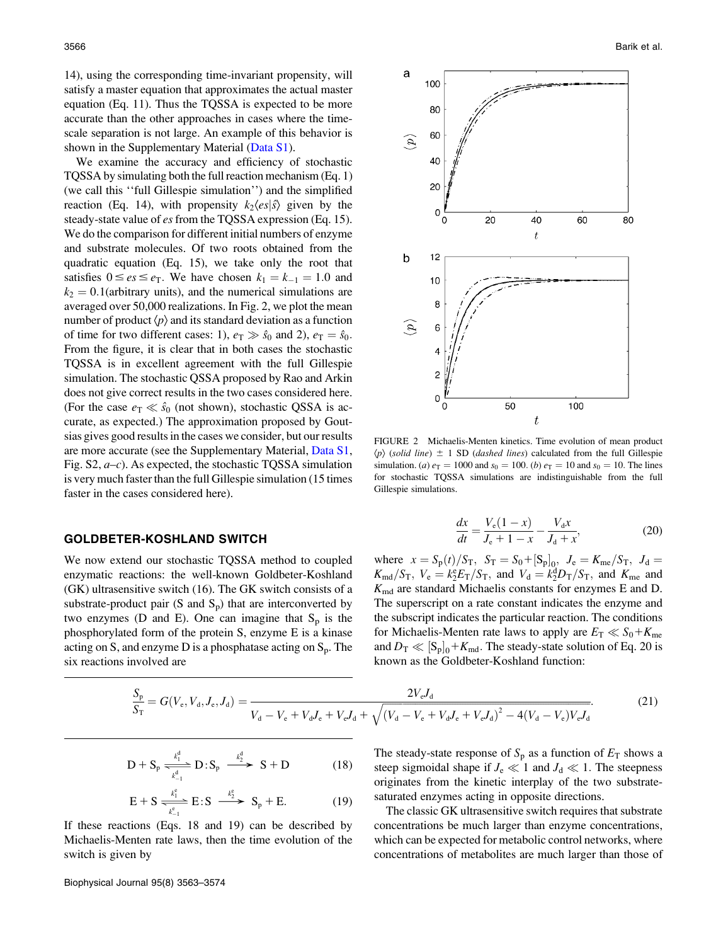14), using the corresponding time-invariant propensity, will satisfy a master equation that approximates the actual master equation (Eq. 11). Thus the TQSSA is expected to be more accurate than the other approaches in cases where the timescale separation is not large. An example of this behavior is shown in the Supplementary Material (Data S1).

We examine the accuracy and efficiency of stochastic TQSSA by simulating both the full reaction mechanism (Eq. 1) (we call this ''full Gillespie simulation'') and the simplified reaction (Eq. 14), with propensity  $k_2\langle es|\hat{s}\rangle$  given by the steady-state value of es from the TQSSA expression (Eq. 15). We do the comparison for different initial numbers of enzyme and substrate molecules. Of two roots obtained from the quadratic equation (Eq. 15), we take only the root that satisfies  $0 \le e_s \le e_T$ . We have chosen  $k_1 = k_{-1} = 1.0$  and  $k_2 = 0.1$ (arbitrary units), and the numerical simulations are averaged over 50,000 realizations. In Fig. 2, we plot the mean number of product  $\langle p \rangle$  and its standard deviation as a function of time for two different cases: 1),  $e_T \gg \hat{s}_0$  and 2),  $e_T = \hat{s}_0$ . From the figure, it is clear that in both cases the stochastic TQSSA is in excellent agreement with the full Gillespie simulation. The stochastic QSSA proposed by Rao and Arkin does not give correct results in the two cases considered here. (For the case  $e_T \ll \hat{s}_0$  (not shown), stochastic QSSA is accurate, as expected.) The approximation proposed by Goutsias gives good results in the cases we consider, but our results are more accurate (see the Supplementary Material, Data S1, Fig.  $S2$ ,  $a-c$ ). As expected, the stochastic TQSSA simulation is very much faster than the full Gillespie simulation (15 times faster in the cases considered here).

# GOLDBETER-KOSHLAND SWITCH

We now extend our stochastic TQSSA method to coupled enzymatic reactions: the well-known Goldbeter-Koshland (GK) ultrasensitive switch (16). The GK switch consists of a substrate-product pair  $(S \text{ and } S_p)$  that are interconverted by two enzymes (D and E). One can imagine that  $S_p$  is the phosphorylated form of the protein S, enzyme E is a kinase acting on S, and enzyme  $D$  is a phosphatase acting on  $S_p$ . The six reactions involved are



FIGURE 2 Michaelis-Menten kinetics. Time evolution of mean product  $\langle p \rangle$  (solid line)  $\pm$  1 SD (dashed lines) calculated from the full Gillespie simulation. (*a*)  $e_T = 1000$  and  $s_0 = 100$ . (*b*)  $e_T = 10$  and  $s_0 = 10$ . The lines for stochastic TQSSA simulations are indistinguishable from the full Gillespie simulations.

$$
\frac{dx}{dt} = \frac{V_e(1-x)}{J_e + 1 - x} - \frac{V_d x}{J_d + x},
$$
(20)

where  $x = S_p(t)/S_T$ ,  $S_T = S_0 + [S_p]_0$ ,  $J_e = K_{\text{me}}/S_T$ ,  $J_d =$  $K_{\text{md}}/S_{\text{T}}$ ,  $V_{\text{e}} = k_2^4 E_{\text{T}}/S_{\text{T}}$ , and  $V_{\text{d}} = k_2^4 D_{\text{T}}/S_{\text{T}}$ , and  $K_{\text{me}}$  and  $K_{\text{md}}$  are standard Michaelis constants for enzymes E and D. The superscript on a rate constant indicates the enzyme and the subscript indicates the particular reaction. The conditions for Michaelis-Menten rate laws to apply are  $E_T \ll S_0 + K_{\text{me}}$ and  $D_{\text{T}} \ll [S_{\text{p}}]_0 + K_{\text{md}}$ . The steady-state solution of Eq. 20 is known as the Goldbeter-Koshland function:

$$
\frac{S_{\rm p}}{S_{\rm T}} = G(V_{\rm e}, V_{\rm d}, J_{\rm e}, J_{\rm d}) = \frac{2V_{\rm e}J_{\rm d}}{V_{\rm d} - V_{\rm e} + V_{\rm d}J_{\rm e} + V_{\rm e}J_{\rm d} + \sqrt{(V_{\rm d} - V_{\rm e} + V_{\rm d}J_{\rm e} + V_{\rm e}J_{\rm d})^2 - 4(V_{\rm d} - V_{\rm e})V_{\rm e}J_{\rm d}}}.
$$
(21)

$$
D + S_p \xrightarrow[k]{{k_1^d} \atop {k_{-1}^d}} D : S_p \xrightarrow{k_2^d} S + D
$$
 (18)

$$
E + S \xrightarrow[k_{1}]{k_{1}^{e}} E : S \xrightarrow{k_{2}^{e}} S_{p} + E. \tag{19}
$$

If these reactions (Eqs. 18 and 19) can be described by Michaelis-Menten rate laws, then the time evolution of the switch is given by

The steady-state response of  $S_p$  as a function of  $E_T$  shows a steep sigmoidal shape if  $J_e \ll 1$  and  $J_d \ll 1$ . The steepness originates from the kinetic interplay of the two substratesaturated enzymes acting in opposite directions.

The classic GK ultrasensitive switch requires that substrate concentrations be much larger than enzyme concentrations, which can be expected for metabolic control networks, where concentrations of metabolites are much larger than those of

Biophysical Journal 95(8) 3563–3574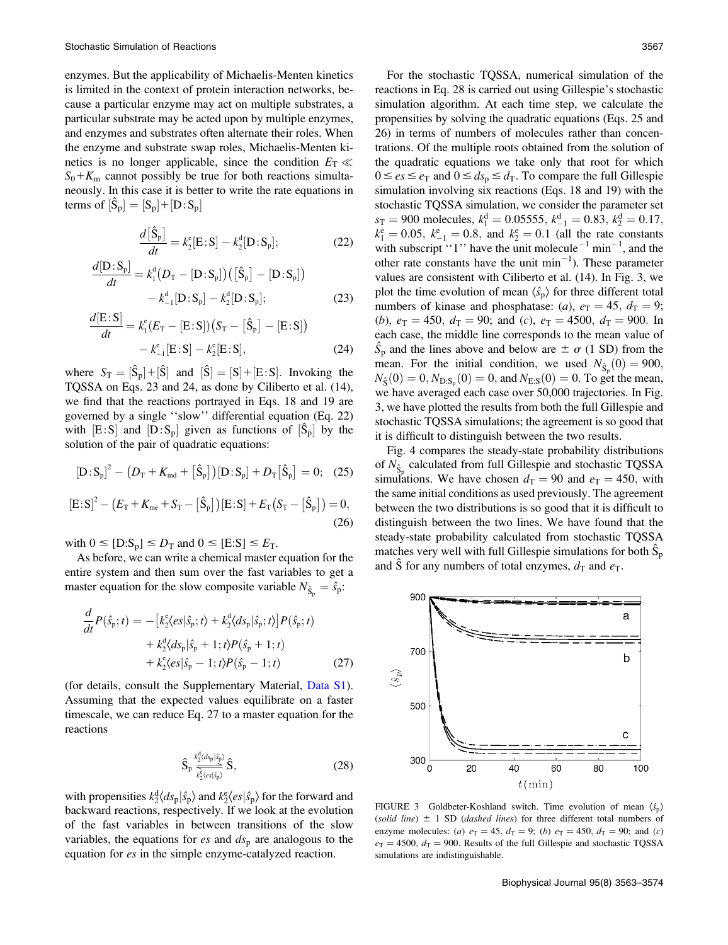enzymes. But the applicability of Michaelis-Menten kinetics is limited in the context of protein interaction networks, because a particular enzyme may act on multiple substrates, a particular substrate may be acted upon by multiple enzymes, and enzymes and substrates often alternate their roles. When the enzyme and substrate swap roles, Michaelis-Menten kinetics is no longer applicable, since the condition  $E_T \ll$  $S_0 + K_m$  cannot possibly be true for both reactions simultaneously. In this case it is better to write the rate equations in terms of  $[\hat{S}_p] = [S_p] + [D:S_p]$ 

$$
\frac{d\left[\hat{\mathbf{S}}_{\mathbf{p}}\right]}{dt} = k_2^{\text{e}}[\mathbf{E}\!:\!\mathbf{S}] - k_2^{\text{d}}[\mathbf{D}\!:\!\mathbf{S}_{\mathbf{p}}];\tag{22}
$$

$$
\frac{d[D: S_p]}{dt} = k_1^d(D_T - [D: S_p]) ([\hat{S}_p] - [D: S_p]) - k_{-1}^d[D: S_p] - k_2^d[D: S_p];
$$
\n(23)

$$
\frac{d[E:S]}{dt} = k_1^e(E_T - [E:S]) (S_T - [\hat{S}_p] - [E:S]) - k_{-1}^e[E:S] - k_2^e[E:S],
$$
\n(24)

where  $S_T = [\hat{S}_p] + [\hat{S}]$  and  $[\hat{S}] = [S] + [E:S]$ . Invoking the TQSSA on Eqs. 23 and 24, as done by Ciliberto et al. (14), we find that the reactions portrayed in Eqs. 18 and 19 are governed by a single ''slow'' differential equation (Eq. 22) with  $[E: S]$  and  $[D: S_p]$  given as functions of  $[\hat{S}_p]$  by the solution of the pair of quadratic equations:

$$
[D: S_p]^2 - (D_T + K_{md} + [\hat{S}_p]) [D: S_p] + D_T [\hat{S}_p] = 0; \quad (25)
$$

$$
[E: S]2 - (ET + Kme + ST - [\hat{S}p])[E: S] + ET(ST - [\hat{S}p]) = 0,
$$
\n(26)

with  $0 \leq [D: S_p] \leq D_T$  and  $0 \leq [E: S] \leq E_T$ .

As before, we can write a chemical master equation for the entire system and then sum over the fast variables to get a master equation for the slow composite variable  $N_{\hat{S}_p} = \hat{S}_p$ :

$$
\frac{d}{dt}P(\hat{s}_{p};t) = -[k_{2}^{\text{e}}\langle es|\hat{s}_{p};t\rangle + k_{2}^{\text{d}}\langle ds_{p}|\hat{s}_{p};t\rangle]P(\hat{s}_{p};t) \n+ k_{2}^{\text{d}}\langle ds_{p}|\hat{s}_{p} + 1; t\rangle P(\hat{s}_{p} + 1; t) \n+ k_{2}^{\text{e}}\langle es|\hat{s}_{p} - 1; t\rangle P(\hat{s}_{p} - 1; t)
$$
\n(27)

(for details, consult the Supplementary Material, Data S1). Assuming that the expected values equilibrate on a faster timescale, we can reduce Eq. 27 to a master equation for the reactions

$$
\hat{S}_p \frac{\kappa_2^d \langle ds_p | \hat{s}_p \rangle}{\kappa_2^c \langle es | \hat{s}_p \rangle} \hat{S},\tag{28}
$$

with propensities  $k_2^d \langle ds_p | \hat{s}_p \rangle$  and  $k_2^e \langle es | \hat{s}_p \rangle$  for the forward and backward reactions, respectively. If we look at the evolution of the fast variables in between transitions of the slow variables, the equations for *es* and  $ds_p$  are analogous to the equation for es in the simple enzyme-catalyzed reaction.

For the stochastic TQSSA, numerical simulation of the reactions in Eq. 28 is carried out using Gillespie's stochastic simulation algorithm. At each time step, we calculate the propensities by solving the quadratic equations (Eqs. 25 and 26) in terms of numbers of molecules rather than concentrations. Of the multiple roots obtained from the solution of the quadratic equations we take only that root for which  $0 \leq es \leq e_{\text{T}}$  and  $0 \leq ds_{\text{p}} \leq d_{\text{T}}$ . To compare the full Gillespie simulation involving six reactions (Eqs. 18 and 19) with the stochastic TQSSA simulation, we consider the parameter set  $s_T = 900$  molecules,  $k_1^d = 0.05555$ ,  $k_{-1}^d = 0.83$ ,  $k_2^d = 0.17$ ,  $k_1^e = 0.05$ ,  $k_{-1}^e = 0.8$ , and  $k_2^e = 0.1$  (all the rate constants with subscript "1" have the unit molecule<sup>-1</sup> min<sup>-1</sup>, and the other rate constants have the unit  $\min^{-1}$ ). These parameter values are consistent with Ciliberto et al. (14). In Fig. 3, we plot the time evolution of mean  $\langle \hat{s}_{p} \rangle$  for three different total numbers of kinase and phosphatase: (*a*),  $e_T = 45$ ,  $d_T = 9$ ; (b),  $e_T = 450$ ,  $d_T = 90$ ; and (c),  $e_T = 4500$ ,  $d_T = 900$ . In each case, the middle line corresponds to the mean value of  $\hat{S}_p$  and the lines above and below are  $\pm \sigma$  (1 SD) from the mean. For the initial condition, we used  $N_{\hat{S}_p}(0) = 900$ ,  $N_{\hat{S}}(0) = 0, N_{D:S_p}(0) = 0$ , and  $N_{E:S}(0) = 0$ . To get the mean, we have averaged each case over 50,000 trajectories. In Fig. 3, we have plotted the results from both the full Gillespie and stochastic TQSSA simulations; the agreement is so good that it is difficult to distinguish between the two results.

Fig. 4 compares the steady-state probability distributions of  $N_{\hat{S}_p}$  calculated from full Gillespie and stochastic TQSSA simulations. We have chosen  $d_T = 90$  and  $e_T = 450$ , with the same initial conditions as used previously. The agreement between the two distributions is so good that it is difficult to distinguish between the two lines. We have found that the steady-state probability calculated from stochastic TQSSA matches very well with full Gillespie simulations for both  $\tilde{S}_p$ and S for any numbers of total enzymes,  $d_T$  and  $e_T$ .

900

a 700 b  $\langle \hat{s}_p \rangle$ 500 C 300  $\Omega$ 20 40 60 80 100  $t(\min)$ 

FIGURE 3 Goldbeter-Koshland switch. Time evolution of mean  $\langle \hat{s}_p \rangle$ (solid line)  $\pm$  1 SD (dashed lines) for three different total numbers of enzyme molecules: (a)  $e_T = 45$ ,  $d_T = 9$ ; (b)  $e_T = 450$ ,  $d_T = 90$ ; and (c)  $e_T = 4500$ ,  $d_T = 900$ . Results of the full Gillespie and stochastic TQSSA simulations are indistinguishable.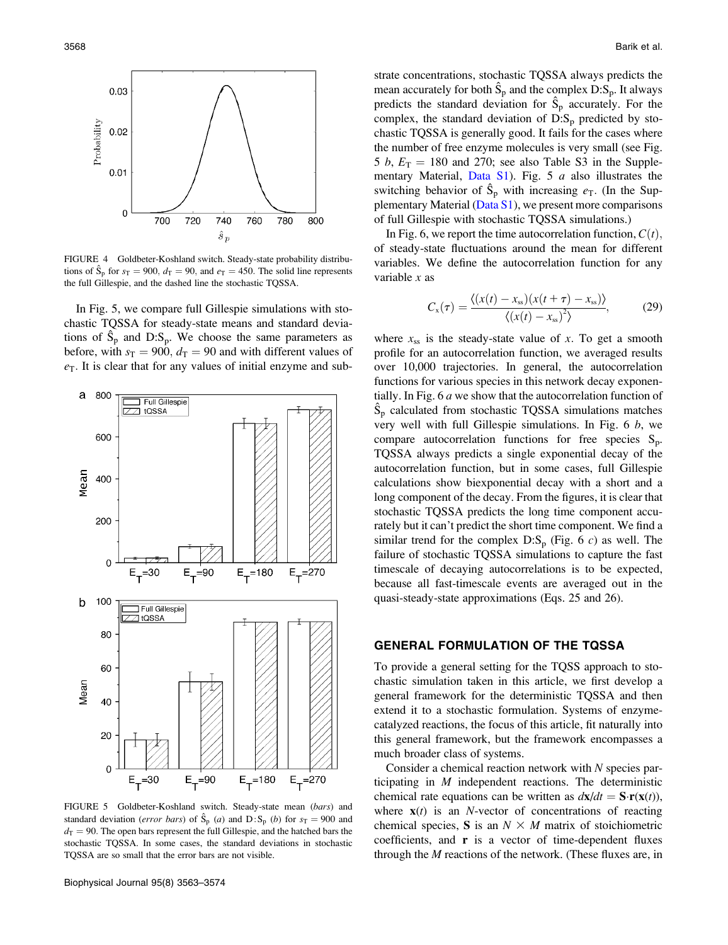

FIGURE 4 Goldbeter-Koshland switch. Steady-state probability distributions of  $\hat{S}_p$  for  $s_T = 900$ ,  $d_T = 90$ , and  $e_T = 450$ . The solid line represents the full Gillespie, and the dashed line the stochastic TQSSA.

In Fig. 5, we compare full Gillespie simulations with stochastic TQSSA for steady-state means and standard deviations of  $\hat{S}_p$  and  $D: S_p$ . We choose the same parameters as before, with  $s_T = 900$ ,  $d_T = 90$  and with different values of  $e_T$ . It is clear that for any values of initial enzyme and sub-



FIGURE 5 Goldbeter-Koshland switch. Steady-state mean (bars) and standard deviation (*error bars*) of  $\hat{S}_p$  (*a*) and D:S<sub>p</sub> (*b*) for  $s_T = 900$  and  $d<sub>T</sub> = 90$ . The open bars represent the full Gillespie, and the hatched bars the stochastic TQSSA. In some cases, the standard deviations in stochastic TQSSA are so small that the error bars are not visible.

Biophysical Journal 95(8) 3563–3574

strate concentrations, stochastic TQSSA always predicts the mean accurately for both  $\hat{S}_p$  and the complex  $D: S_p$ . It always predicts the standard deviation for  $\hat{S}_p$  accurately. For the complex, the standard deviation of  $D: S_p$  predicted by stochastic TQSSA is generally good. It fails for the cases where the number of free enzyme molecules is very small (see Fig. 5 b,  $E_T = 180$  and 270; see also Table S3 in the Supplementary Material, Data  $S1$ ). Fig. 5 a also illustrates the switching behavior of  $\hat{S}_p$  with increasing  $e_T$ . (In the Supplementary Material (Data S1), we present more comparisons of full Gillespie with stochastic TQSSA simulations.)

In Fig. 6, we report the time autocorrelation function,  $C(t)$ , of steady-state fluctuations around the mean for different variables. We define the autocorrelation function for any variable  $x$  as

$$
C_{\rm x}(\tau) = \frac{\langle (x(t) - x_{\rm ss})(x(t + \tau) - x_{\rm ss}) \rangle}{\langle (x(t) - x_{\rm ss})^2 \rangle},\tag{29}
$$

where  $x_{ss}$  is the steady-state value of x. To get a smooth profile for an autocorrelation function, we averaged results over 10,000 trajectories. In general, the autocorrelation functions for various species in this network decay exponentially. In Fig. 6 a we show that the autocorrelation function of  $\hat{S}_p$  calculated from stochastic TQSSA simulations matches very well with full Gillespie simulations. In Fig. 6 b, we compare autocorrelation functions for free species  $S_p$ . TQSSA always predicts a single exponential decay of the autocorrelation function, but in some cases, full Gillespie calculations show biexponential decay with a short and a long component of the decay. From the figures, it is clear that stochastic TQSSA predicts the long time component accurately but it can't predict the short time component. We find a similar trend for the complex  $D: S_p$  (Fig. 6 c) as well. The failure of stochastic TQSSA simulations to capture the fast timescale of decaying autocorrelations is to be expected, because all fast-timescale events are averaged out in the quasi-steady-state approximations (Eqs. 25 and 26).

## GENERAL FORMULATION OF THE TQSSA

To provide a general setting for the TQSS approach to stochastic simulation taken in this article, we first develop a general framework for the deterministic TQSSA and then extend it to a stochastic formulation. Systems of enzymecatalyzed reactions, the focus of this article, fit naturally into this general framework, but the framework encompasses a much broader class of systems.

Consider a chemical reaction network with  $N$  species participating in M independent reactions. The deterministic chemical rate equations can be written as  $d\mathbf{x}/dt = \mathbf{S}\cdot\mathbf{r}(\mathbf{x}(t)),$ where  $\mathbf{x}(t)$  is an *N*-vector of concentrations of reacting chemical species, S is an  $N \times M$  matrix of stoichiometric coefficients, and  $\bf{r}$  is a vector of time-dependent fluxes through the  $M$  reactions of the network. (These fluxes are, in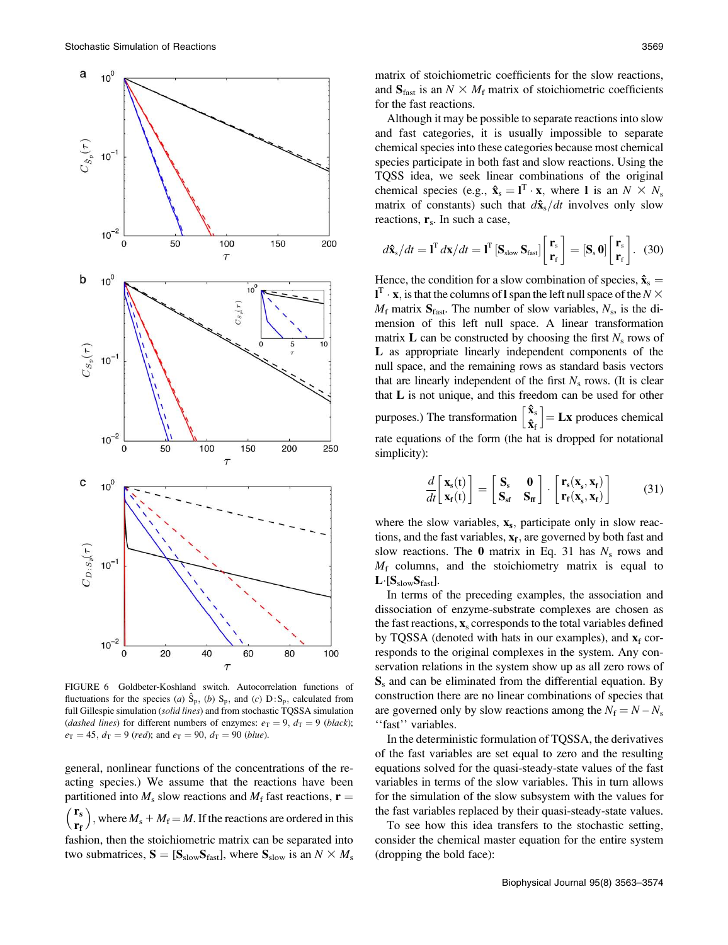

FIGURE 6 Goldbeter-Koshland switch. Autocorrelation functions of fluctuations for the species (a)  $\hat{S}_p$ , (b)  $S_p$ , and (c)  $D: S_p$ , calculated from full Gillespie simulation (solid lines) and from stochastic TQSSA simulation (dashed lines) for different numbers of enzymes:  $e_T = 9$ ,  $d_T = 9$  (black);  $e_T = 45$ ,  $d_T = 9$  (red); and  $e_T = 90$ ,  $d_T = 90$  (blue).

general, nonlinear functions of the concentrations of the reacting species.) We assume that the reactions have been partitioned into  $M_s$  slow reactions and  $M_f$  fast reactions,  $\mathbf{r} =$  $r_s$ rf ), where  $M_s + M_f = M$ . If the reactions are ordered in this fashion, then the stoichiometric matrix can be separated into two submatrices,  $S = [S_{slow}S_{fast}]$ , where  $S_{slow}$  is an  $N \times M_s$  matrix of stoichiometric coefficients for the slow reactions, and  $S<sub>fast</sub>$  is an  $N \times M<sub>f</sub>$  matrix of stoichiometric coefficients for the fast reactions.

Although it may be possible to separate reactions into slow and fast categories, it is usually impossible to separate chemical species into these categories because most chemical species participate in both fast and slow reactions. Using the TQSS idea, we seek linear combinations of the original chemical species (e.g.,  $\hat{\mathbf{x}}_s = \mathbf{l}^T \cdot \mathbf{x}$ , where I is an  $N \times N_s$ matrix of constants) such that  $d\hat{\mathbf{x}}_s/dt$  involves only slow reactions,  $\mathbf{r}_s$ . In such a case,

$$
d\hat{\mathbf{x}}_{\mathrm{s}}/dt = \mathbf{I}^{\mathrm{T}} d\mathbf{x}/dt = \mathbf{I}^{\mathrm{T}}\left[\mathbf{S}_{\mathrm{slow}}\,\mathbf{S}_{\mathrm{fast}}\right]\begin{bmatrix}\mathbf{r}_{\mathrm{s}}\\\mathbf{r}_{\mathrm{f}}\end{bmatrix} = \left[\mathbf{S}_{\mathrm{s}}\,\mathbf{0}\right]\begin{bmatrix}\mathbf{r}_{\mathrm{s}}\\\mathbf{r}_{\mathrm{f}}\end{bmatrix}.
$$
 (30)

Hence, the condition for a slow combination of species,  $\hat{\mathbf{x}}_s =$  $\mathbf{1}^{\mathrm{T}} \cdot \mathbf{x}$ , is that the columns of l span the left null space of the  $N \times$  $M_f$  matrix  $S<sub>fast</sub>$ . The number of slow variables,  $N_s$ , is the dimension of this left null space. A linear transformation matrix  $\bf{L}$  can be constructed by choosing the first  $N_s$  rows of L as appropriate linearly independent components of the null space, and the remaining rows as standard basis vectors that are linearly independent of the first  $N_s$  rows. (It is clear that L is not unique, and this freedom can be used for other purposes.) The transformation  $\begin{bmatrix} \hat{\mathbf{x}}_{s} \\ \hat{\mathbf{x}}_{f} \end{bmatrix}$  $\vert$  = **Lx** produces chemical rate equations of the form (the hat is dropped for notational simplicity):

$$
\frac{d}{dt} \begin{bmatrix} \mathbf{x}_{\mathrm{s}}(t) \\ \mathbf{x}_{\mathrm{r}}(t) \end{bmatrix} = \begin{bmatrix} \mathbf{S}_{\mathrm{s}} & \mathbf{0} \\ \mathbf{S}_{\mathrm{s}\mathrm{f}} & \mathbf{S}_{\mathrm{f}\mathrm{f}} \end{bmatrix} \cdot \begin{bmatrix} \mathbf{r}_{\mathrm{s}}(\mathbf{x}_{\mathrm{s}}, \mathbf{x}_{\mathrm{f}}) \\ \mathbf{r}_{\mathrm{r}}(\mathbf{x}_{\mathrm{s}}, \mathbf{x}_{\mathrm{f}}) \end{bmatrix}
$$
(31)

where the slow variables,  $x_s$ , participate only in slow reactions, and the fast variables,  $x_f$ , are governed by both fast and slow reactions. The  $\theta$  matrix in Eq. 31 has  $N_s$  rows and  $M_f$  columns, and the stoichiometry matrix is equal to  $L$  [ $S_{slow}S_{fast}$ ].

In terms of the preceding examples, the association and dissociation of enzyme-substrate complexes are chosen as the fast reactions,  $\mathbf{x}_s$  corresponds to the total variables defined by TQSSA (denoted with hats in our examples), and  $x_f$  corresponds to the original complexes in the system. Any conservation relations in the system show up as all zero rows of  $S<sub>s</sub>$  and can be eliminated from the differential equation. By construction there are no linear combinations of species that are governed only by slow reactions among the  $N_f = N - N_s$ "fast" variables.

In the deterministic formulation of TQSSA, the derivatives of the fast variables are set equal to zero and the resulting equations solved for the quasi-steady-state values of the fast variables in terms of the slow variables. This in turn allows for the simulation of the slow subsystem with the values for the fast variables replaced by their quasi-steady-state values.

To see how this idea transfers to the stochastic setting, consider the chemical master equation for the entire system (dropping the bold face):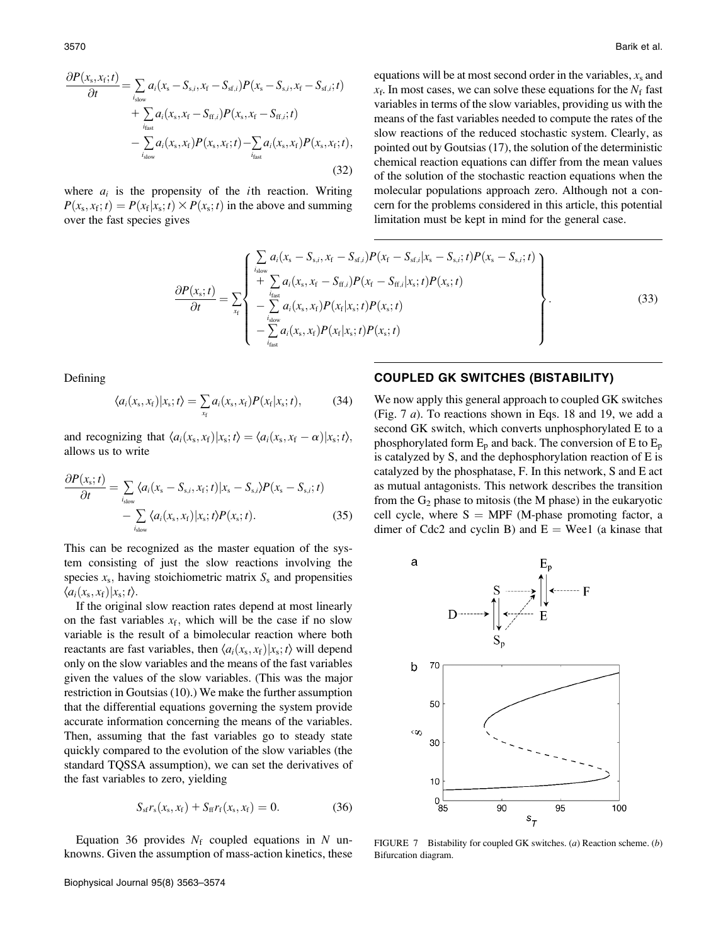$$
\frac{\partial P(x_{s}, x_{f}; t)}{\partial t} = \sum_{i_{\text{slow}}} a_{i}(x_{s} - S_{s,i}, x_{f} - S_{sf,i}) P(x_{s} - S_{s,i}, x_{f} - S_{sf,i}; t) \n+ \sum_{i_{\text{fast}}} a_{i}(x_{s}, x_{f} - S_{ff,i}) P(x_{s}, x_{f} - S_{ff,i}; t) \n- \sum_{i_{\text{slow}}} a_{i}(x_{s}, x_{f}) P(x_{s}, x_{f}; t) - \sum_{i_{\text{fast}}} a_{i}(x_{s}, x_{f}) P(x_{s}, x_{f}; t),
$$
\n(32)

where  $a_i$  is the propensity of the *i*th reaction. Writing  $P(x<sub>s</sub>, x<sub>f</sub>; t) = P(x<sub>f</sub>|x<sub>s</sub>; t) \times P(x<sub>s</sub>; t)$  in the above and summing over the fast species gives

equations will be at most second order in the variables,  $x_s$  and  $x_f$ . In most cases, we can solve these equations for the  $N_f$  fast variables in terms of the slow variables, providing us with the means of the fast variables needed to compute the rates of the slow reactions of the reduced stochastic system. Clearly, as pointed out by Goutsias (17), the solution of the deterministic chemical reaction equations can differ from the mean values of the solution of the stochastic reaction equations when the molecular populations approach zero. Although not a concern for the problems considered in this article, this potential limitation must be kept in mind for the general case.

$$
\frac{\partial P(x_{s};t)}{\partial t} = \sum_{x_{f}} \left\{ \sum_{i_{\text{slow}}}^{i_{\text{slow}}} a_{i}(x_{s} - S_{s,i}, x_{f} - S_{\text{sf},i}) P(x_{f} - S_{\text{sf},i}|x_{s} - S_{s,i};t) P(x_{s} - S_{s,i};t) + \sum_{i_{\text{fast}}} a_{i}(x_{s}, x_{f} - S_{\text{ff},i}) P(x_{f} - S_{\text{ff},i}|x_{s};t) P(x_{s};t) - \sum_{i_{\text{slow}}}^{i_{\text{slow}}} a_{i}(x_{s}, x_{f}) P(x_{f}|x_{s};t) P(x_{s};t) - \sum_{i_{\text{fast}}}^{i_{\text{slow}}} a_{i}(x_{s}, x_{f}) P(x_{f}|x_{s};t) P(x_{s};t) \right\}.
$$
\n(33)

Defining

$$
\langle a_i(x_s, x_t) | x_s; t \rangle = \sum_{x_t} a_i(x_s, x_t) P(x_t | x_s; t), \qquad (34)
$$

and recognizing that  $\langle a_i(x_s, x_f)|x_s;t\rangle = \langle a_i(x_s, x_f - \alpha)|x_s;t\rangle$ , allows us to write

$$
\frac{\partial P(x_s; t)}{\partial t} = \sum_{i_{slow}} \langle a_i(x_s - S_{s,i}, x_t; t) | x_s - S_{s,i} \rangle P(x_s - S_{s,i}; t) - \sum_{i_{slow}} \langle a_i(x_s, x_t) | x_s; t \rangle P(x_s; t). \tag{35}
$$

This can be recognized as the master equation of the system consisting of just the slow reactions involving the species  $x_s$ , having stoichiometric matrix  $S_s$  and propensities  $\langle a_i(x_{\rm s}, x_{\rm f})|x_{\rm s}; t\rangle$ .

If the original slow reaction rates depend at most linearly on the fast variables  $x_f$ , which will be the case if no slow variable is the result of a bimolecular reaction where both reactants are fast variables, then  $\langle a_i(x_s, x_f)|x_s; t \rangle$  will depend only on the slow variables and the means of the fast variables given the values of the slow variables. (This was the major restriction in Goutsias (10).) We make the further assumption that the differential equations governing the system provide accurate information concerning the means of the variables. Then, assuming that the fast variables go to steady state quickly compared to the evolution of the slow variables (the standard TQSSA assumption), we can set the derivatives of the fast variables to zero, yielding

$$
S_{\rm sf}r_{\rm s}(x_{\rm s},x_{\rm f}) + S_{\rm ff}r_{\rm f}(x_{\rm s},x_{\rm f}) = 0. \tag{36}
$$

Equation 36 provides  $N_f$  coupled equations in N unknowns. Given the assumption of mass-action kinetics, these

#### COUPLED GK SWITCHES (BISTABILITY)

We now apply this general approach to coupled GK switches (Fig. 7 a). To reactions shown in Eqs. 18 and 19, we add a second GK switch, which converts unphosphorylated E to a phosphorylated form  $E_p$  and back. The conversion of E to  $E_p$ is catalyzed by S, and the dephosphorylation reaction of E is catalyzed by the phosphatase, F. In this network, S and E act as mutual antagonists. This network describes the transition from the  $G_2$  phase to mitosis (the M phase) in the eukaryotic cell cycle, where  $S = MPF$  (M-phase promoting factor, a dimer of Cdc2 and cyclin B) and  $E =$  Wee1 (a kinase that



FIGURE 7 Bistability for coupled GK switches. (a) Reaction scheme. (b) Bifurcation diagram.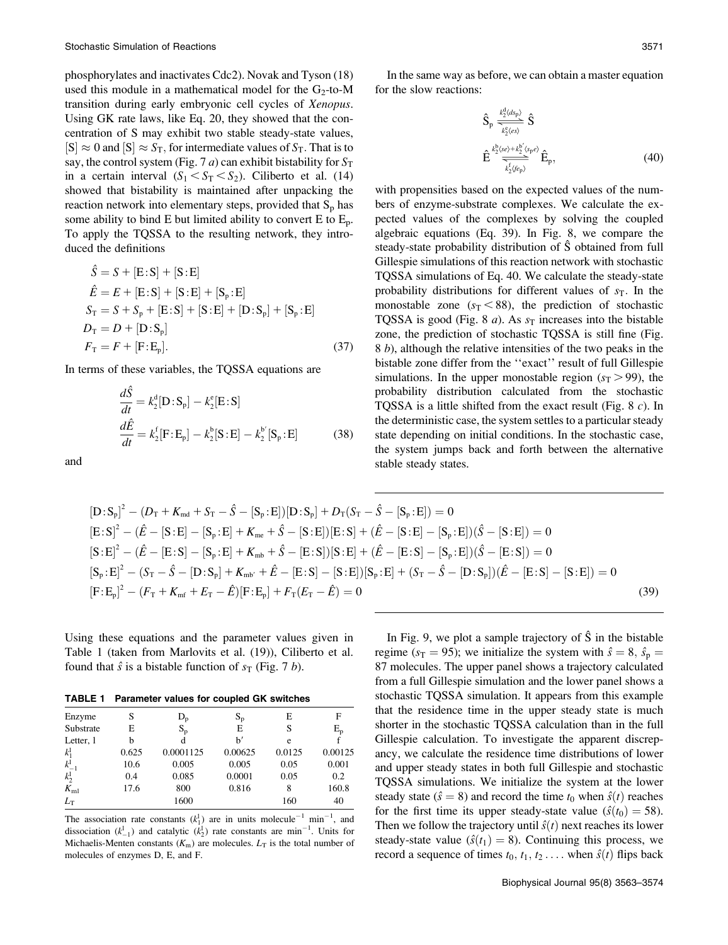phosphorylates and inactivates Cdc2). Novak and Tyson (18) used this module in a mathematical model for the  $G_2$ -to-M transition during early embryonic cell cycles of Xenopus. Using GK rate laws, like Eq. 20, they showed that the concentration of S may exhibit two stable steady-state values,  $|S| \approx 0$  and  $|S| \approx S_T$ , for intermediate values of  $S_T$ . That is to say, the control system (Fig. 7 *a*) can exhibit bistability for  $S_T$ in a certain interval  $(S_1 < S_T < S_2)$ . Ciliberto et al. (14) showed that bistability is maintained after unpacking the reaction network into elementary steps, provided that  $S_p$  has some ability to bind E but limited ability to convert E to  $E_p$ . To apply the TQSSA to the resulting network, they introduced the definitions

$$
\hat{S} = S + [E:S] + [S:E] \n\hat{E} = E + [E:S] + [S:E] + [S_{p}:E] \nS_{T} = S + S_{p} + [E:S] + [S:E] + [D:S_{p}] + [S_{p}:E] \nD_{T} = D + [D:S_{p}] \nF_{T} = F + [F:E_{p}].
$$
\n(37)

In terms of these variables, the TQSSA equations are

$$
\frac{d\hat{S}}{dt} = k_2^d [\mathbf{D} : \mathbf{S}_p] - k_2^e [\mathbf{E} : \mathbf{S}] \n\frac{d\hat{E}}{dt} = k_2^f [\mathbf{F} : \mathbf{E}_p] - k_2^b [\mathbf{S} : \mathbf{E}] - k_2^b [\mathbf{S}_p : \mathbf{E}]
$$
\n(38)

and

In the same way as before, we can obtain a master equation for the slow reactions:

$$
\hat{S}_p \frac{\underset{k_2^b}{\sum_{k_2^c(\alpha)}}}{\sum_{k_2^b(\alpha)} \hat{S}} \hat{S}
$$
\n
$$
\hat{E} \frac{\underset{k_2^b}{\sum_{k_2^b(\alpha)} \hat{S}}}{\sum_{k_2^b(\beta_p)}} \hat{E}_p, \tag{40}
$$

with propensities based on the expected values of the numbers of enzyme-substrate complexes. We calculate the expected values of the complexes by solving the coupled algebraic equations (Eq. 39). In Fig. 8, we compare the steady-state probability distribution of  $\hat{S}$  obtained from full Gillespie simulations of this reaction network with stochastic TQSSA simulations of Eq. 40. We calculate the steady-state probability distributions for different values of  $s_T$ . In the monostable zone  $(s_T < 88)$ , the prediction of stochastic TQSSA is good (Fig. 8  $a$ ). As  $s<sub>T</sub>$  increases into the bistable zone, the prediction of stochastic TQSSA is still fine (Fig. 8 b), although the relative intensities of the two peaks in the bistable zone differ from the ''exact'' result of full Gillespie simulations. In the upper monostable region  $(s_T > 99)$ , the probability distribution calculated from the stochastic TQSSA is a little shifted from the exact result (Fig. 8 c). In the deterministic case, the system settles to a particular steady state depending on initial conditions. In the stochastic case, the system jumps back and forth between the alternative stable steady states.

$$
[D: S_p]^2 - (D_T + K_{md} + S_T - \hat{S} - [S_p : E]) [D: S_p] + D_T (S_T - \hat{S} - [S_p : E]) = 0
$$
  
\n
$$
[E: S]^2 - (\hat{E} - [S: E] - [S_p : E] + K_{me} + \hat{S} - [S: E]) [E: S] + (\hat{E} - [S: E] - [S_p : E]) (\hat{S} - [S: E]) = 0
$$
  
\n
$$
[S: E]^2 - (\hat{E} - [E: S] - [S_p : E] + K_{mb} + \hat{S} - [E: S]) [S: E] + (\hat{E} - [E: S] - [S_p : E]) (\hat{S} - [E: S]) = 0
$$
  
\n
$$
[S_p : E]^2 - (S_T - \hat{S} - [D: S_p] + K_{mb'} + \hat{E} - [E: S] - [S: E]) [S_p : E] + (S_T - \hat{S} - [D: S_p])(\hat{E} - [E: S] - [S: E]) = 0
$$
  
\n
$$
[F: E_p]^2 - (F_T + K_{mf} + E_T - \hat{E}) [F: E_p] + F_T (E_T - \hat{E}) = 0
$$
\n(39)

Using these equations and the parameter values given in Table 1 (taken from Marlovits et al. (19)), Ciliberto et al. found that  $\hat{s}$  is a bistable function of  $s_T$  (Fig. 7 b).

TABLE 1 Parameter values for coupled GK switches

| Enzyme           | S     | $D_{p}$   | $S_p$   | E      | F       |
|------------------|-------|-----------|---------|--------|---------|
| Substrate        | E     | $S_{p}$   | E       | S      | $E_{p}$ |
| Letter, 1        | b     | d         | h'      | e      |         |
| $k_1^{\rm l}$    | 0.625 | 0.0001125 | 0.00625 | 0.0125 | 0.00125 |
| $k_{-1}^{\perp}$ | 10.6  | 0.005     | 0.005   | 0.05   | 0.001   |
| $k_2^{\rm l}$    | 0.4   | 0.085     | 0.0001  | 0.05   | 0.2     |
| $K_{\rm ml}$     | 17.6  | 800       | 0.816   | 8      | 160.8   |
| $L_{\rm T}$      |       | 1600      |         | 160    | 40      |

The association rate constants  $(k_1^1)$  are in units molecule<sup>-1</sup> min<sup>-1</sup>, and dissociation  $(k_{-1}^l)$  and catalytic  $(k_2^l)$  rate constants are min<sup>-1</sup>. Units for Michaelis-Menten constants  $(K_m)$  are molecules.  $L_T$  is the total number of molecules of enzymes D, E, and F.

In Fig. 9, we plot a sample trajectory of  $\hat{S}$  in the bistable regime ( $s_T = 95$ ); we initialize the system with  $\hat{s} = 8$ ,  $\hat{s}_p =$ 87 molecules. The upper panel shows a trajectory calculated from a full Gillespie simulation and the lower panel shows a stochastic TQSSA simulation. It appears from this example that the residence time in the upper steady state is much shorter in the stochastic TQSSA calculation than in the full Gillespie calculation. To investigate the apparent discrepancy, we calculate the residence time distributions of lower and upper steady states in both full Gillespie and stochastic TQSSA simulations. We initialize the system at the lower steady state ( $\hat{s} = 8$ ) and record the time  $t_0$  when  $\hat{s}(t)$  reaches for the first time its upper steady-state value  $(\hat{s}(t_0) = 58)$ . Then we follow the trajectory until  $\hat{s}(t)$  next reaches its lower steady-state value  $(\hat{s}(t_1) = 8)$ . Continuing this process, we record a sequence of times  $t_0, t_1, t_2, \ldots$  when  $\hat{s}(t)$  flips back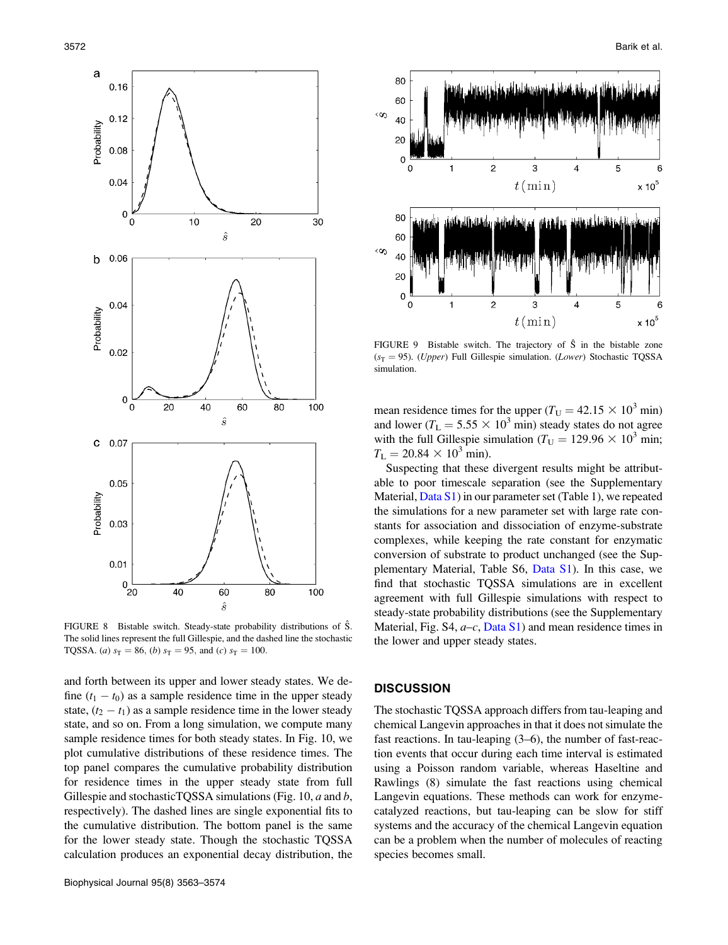

FIGURE 8 Bistable switch. Steady-state probability distributions of S. The solid lines represent the full Gillespie, and the dashed line the stochastic TQSSA. (*a*)  $s_T = 86$ , (*b*)  $s_T = 95$ , and (*c*)  $s_T = 100$ .

and forth between its upper and lower steady states. We define  $(t_1 - t_0)$  as a sample residence time in the upper steady state,  $(t_2 - t_1)$  as a sample residence time in the lower steady state, and so on. From a long simulation, we compute many sample residence times for both steady states. In Fig. 10, we plot cumulative distributions of these residence times. The top panel compares the cumulative probability distribution for residence times in the upper steady state from full Gillespie and stochasticTQSSA simulations (Fig. 10, a and b, respectively). The dashed lines are single exponential fits to the cumulative distribution. The bottom panel is the same for the lower steady state. Though the stochastic TQSSA calculation produces an exponential decay distribution, the



FIGURE 9 Bistable switch. The trajectory of  $\hat{S}$  in the bistable zone  $(s_T = 95)$ . (Upper) Full Gillespie simulation. (Lower) Stochastic TQSSA simulation.

mean residence times for the upper ( $T_U = 42.15 \times 10^3$  min) and lower ( $T_L = 5.55 \times 10^3$  min) steady states do not agree with the full Gillespie simulation ( $T_U = 129.96 \times 10^3$  min;  $T_{\rm L} = 20.84 \times 10^3$  min).

Suspecting that these divergent results might be attributable to poor timescale separation (see the Supplementary Material,  $Data S1$ ) in our parameter set (Table 1), we repeated the simulations for a new parameter set with large rate constants for association and dissociation of enzyme-substrate complexes, while keeping the rate constant for enzymatic conversion of substrate to product unchanged (see the Supplementary Material, Table S6, Data S1). In this case, we find that stochastic TQSSA simulations are in excellent agreement with full Gillespie simulations with respect to steady-state probability distributions (see the Supplementary Material, Fig. S4,  $a-c$ , Data S1) and mean residence times in the lower and upper steady states.

## **DISCUSSION**

The stochastic TQSSA approach differs from tau-leaping and chemical Langevin approaches in that it does not simulate the fast reactions. In tau-leaping (3–6), the number of fast-reaction events that occur during each time interval is estimated using a Poisson random variable, whereas Haseltine and Rawlings (8) simulate the fast reactions using chemical Langevin equations. These methods can work for enzymecatalyzed reactions, but tau-leaping can be slow for stiff systems and the accuracy of the chemical Langevin equation can be a problem when the number of molecules of reacting species becomes small.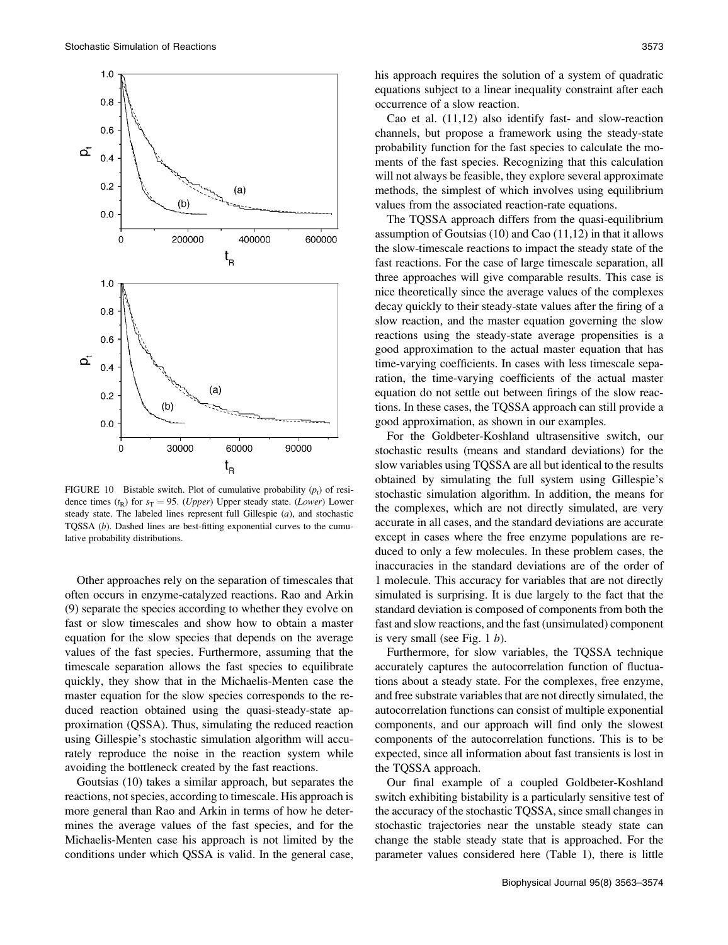

FIGURE 10 Bistable switch. Plot of cumulative probability  $(p_t)$  of residence times ( $t<sub>R</sub>$ ) for  $s<sub>T</sub> = 95$ . (*Upper*) Upper steady state. (*Lower*) Lower steady state. The labeled lines represent full Gillespie  $(a)$ , and stochastic TQSSA (b). Dashed lines are best-fitting exponential curves to the cumulative probability distributions.

Other approaches rely on the separation of timescales that often occurs in enzyme-catalyzed reactions. Rao and Arkin (9) separate the species according to whether they evolve on fast or slow timescales and show how to obtain a master equation for the slow species that depends on the average values of the fast species. Furthermore, assuming that the timescale separation allows the fast species to equilibrate quickly, they show that in the Michaelis-Menten case the master equation for the slow species corresponds to the reduced reaction obtained using the quasi-steady-state approximation (QSSA). Thus, simulating the reduced reaction using Gillespie's stochastic simulation algorithm will accurately reproduce the noise in the reaction system while avoiding the bottleneck created by the fast reactions.

Goutsias (10) takes a similar approach, but separates the reactions, not species, according to timescale. His approach is more general than Rao and Arkin in terms of how he determines the average values of the fast species, and for the Michaelis-Menten case his approach is not limited by the conditions under which QSSA is valid. In the general case, his approach requires the solution of a system of quadratic equations subject to a linear inequality constraint after each occurrence of a slow reaction.

Cao et al. (11,12) also identify fast- and slow-reaction channels, but propose a framework using the steady-state probability function for the fast species to calculate the moments of the fast species. Recognizing that this calculation will not always be feasible, they explore several approximate methods, the simplest of which involves using equilibrium values from the associated reaction-rate equations.

The TQSSA approach differs from the quasi-equilibrium assumption of Goutsias  $(10)$  and Cao  $(11,12)$  in that it allows the slow-timescale reactions to impact the steady state of the fast reactions. For the case of large timescale separation, all three approaches will give comparable results. This case is nice theoretically since the average values of the complexes decay quickly to their steady-state values after the firing of a slow reaction, and the master equation governing the slow reactions using the steady-state average propensities is a good approximation to the actual master equation that has time-varying coefficients. In cases with less timescale separation, the time-varying coefficients of the actual master equation do not settle out between firings of the slow reactions. In these cases, the TQSSA approach can still provide a good approximation, as shown in our examples.

For the Goldbeter-Koshland ultrasensitive switch, our stochastic results (means and standard deviations) for the slow variables using TQSSA are all but identical to the results obtained by simulating the full system using Gillespie's stochastic simulation algorithm. In addition, the means for the complexes, which are not directly simulated, are very accurate in all cases, and the standard deviations are accurate except in cases where the free enzyme populations are reduced to only a few molecules. In these problem cases, the inaccuracies in the standard deviations are of the order of 1 molecule. This accuracy for variables that are not directly simulated is surprising. It is due largely to the fact that the standard deviation is composed of components from both the fast and slow reactions, and the fast (unsimulated) component is very small (see Fig. 1  $b$ ).

Furthermore, for slow variables, the TQSSA technique accurately captures the autocorrelation function of fluctuations about a steady state. For the complexes, free enzyme, and free substrate variables that are not directly simulated, the autocorrelation functions can consist of multiple exponential components, and our approach will find only the slowest components of the autocorrelation functions. This is to be expected, since all information about fast transients is lost in the TQSSA approach.

Our final example of a coupled Goldbeter-Koshland switch exhibiting bistability is a particularly sensitive test of the accuracy of the stochastic TQSSA, since small changes in stochastic trajectories near the unstable steady state can change the stable steady state that is approached. For the parameter values considered here (Table 1), there is little